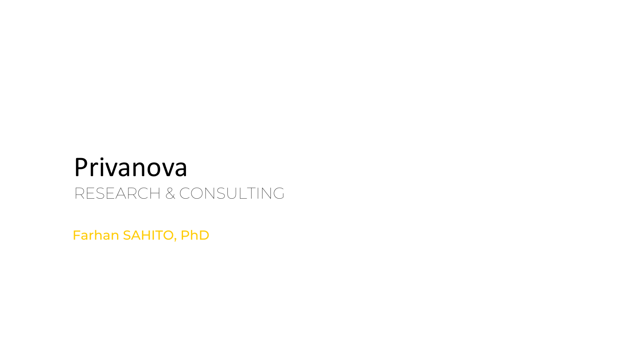## Privanova RESEARCH & CONSULTING

Farhan SAHITO, PhD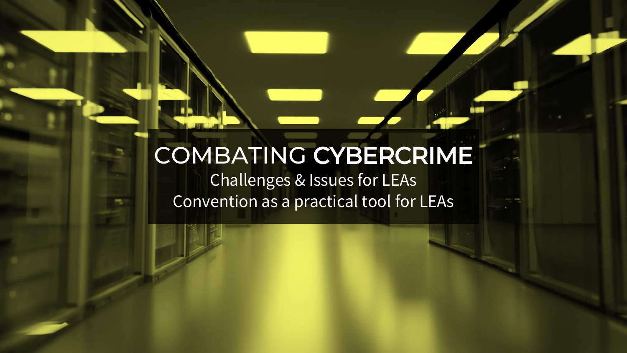### COMBATING CYBERCRIME Challenges & Issues for LEAs Convention as a practical tool for LEAs

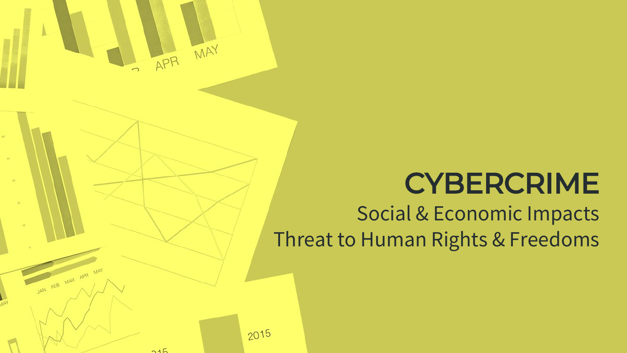

## CYBERCRIME Social & Economic Impacts Threat to Human Rights & Freedoms

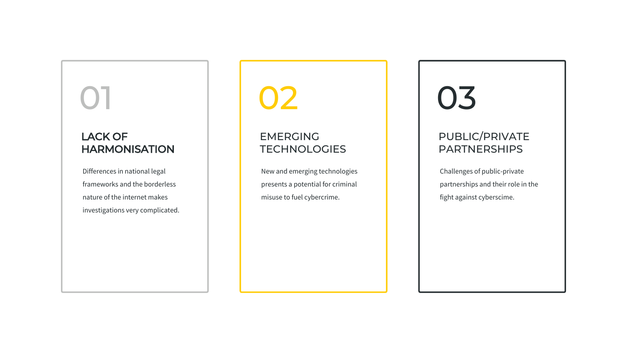Differences in national legal frameworks and the borderless nature of the internet makes investigations very complicated.

### EMERGING **TECHNOLOGIES**

### LACK OF HARMONISATION

 $\overline{\mathbf{1}}$ 

New and emerging technologies presents a potential for criminal misuse to fuel cybercrime.

02

Challenges of public-private partnerships and their role in the fight against cyberscime.

### PUBLIC/PRIVATE PARTNERSHIPS

# 03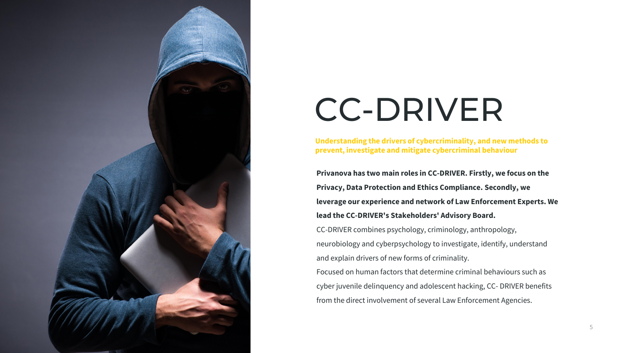5

**Understanding the drivers of cybercriminality, and new methods to prevent, investigate and mitigate cybercriminal behaviour**



# CC-DRIVER

**Privanova has two main roles in CC-DRIVER. Firstly, we focus on the** 

**Privacy, Data Protection and Ethics Compliance. Secondly, we** 

**leverage our experience and network of Law Enforcement Experts. We** 

#### **lead the CC-DRIVER's Stakeholders' Advisory Board.**

CC-DRIVER combines psychology, criminology, anthropology, neurobiology and cyberpsychology to investigate, identify, understand and explain drivers of new forms of criminality.

Focused on human factors that determine criminal behaviours such as cyber juvenile delinquency and adolescent hacking, CC- DRIVER benefits from the direct involvement of several Law Enforcement Agencies.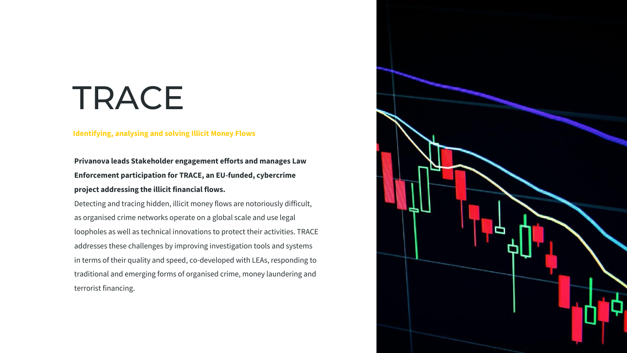

#### **Identifying, analysing and solving Illicit Money Flows**

# TRACE

### **Privanova leads Stakeholder engagement efforts and manages Law Enforcement participation for TRACE, an EU-funded, cybercrime project addressing the illicit financial flows.**

Detecting and tracing hidden, illicit money flows are notoriously difficult, as organised crime networks operate on a global scale and use legal loopholes as well as technical innovations to protect their activities. TRACE addresses these challenges by improving investigation tools and systems in terms of their quality and speed, co-developed with LEAs, responding to traditional and emerging forms of organised crime, money laundering and terrorist financing.

![](_page_5_Picture_4.jpeg)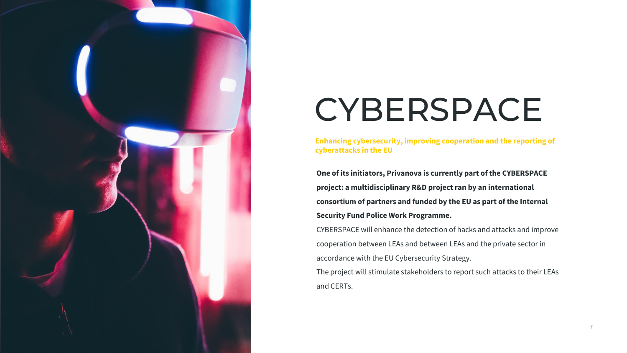7

**Enhancing cybersecurity, improving cooperation and the reporting of cyberattacks in the EU**

![](_page_6_Picture_0.jpeg)

# CYBERSPACE

**One of its initiators, Privanova is currently part of the CYBERSPACE project: a multidisciplinary R&D project ran by an international consortium of partners and funded by the EU as part of the Internal Security Fund Police Work Programme.**

CYBERSPACE will enhance the detection of hacks and attacks and improve cooperation between LEAs and between LEAs and the private sector in accordance with the EU Cybersecurity Strategy.

The project will stimulate stakeholders to report such attacks to their LEAs and CERTs.